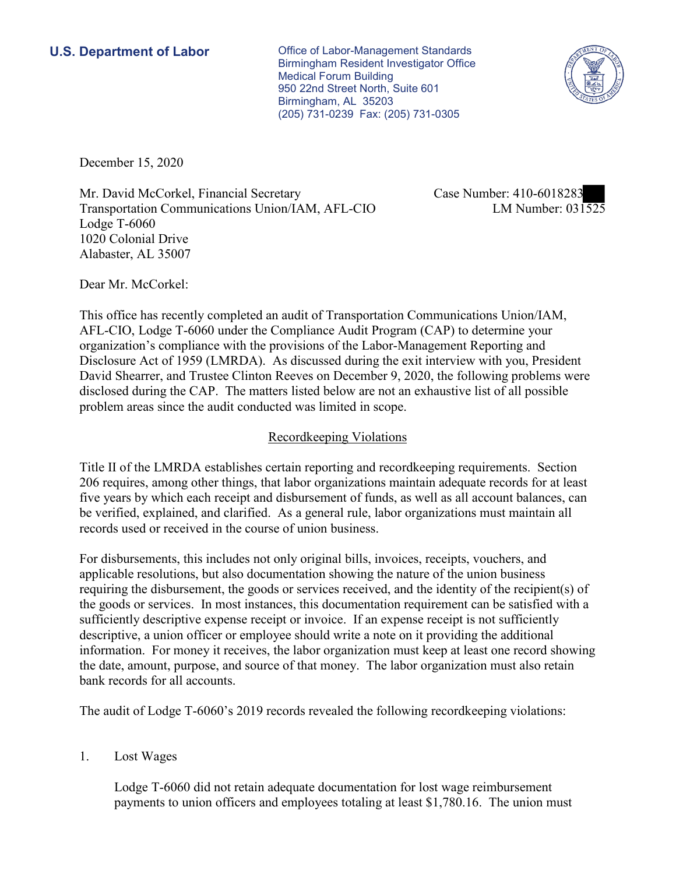**U.S. Department of Labor Conservative Conservative Conservative Conservative U.S.** Department of Labor Birmingham Resident Investigator Office Medical Forum Building 950 22nd Street North, Suite 601 Birmingham, AL 35203 (205) 731-0239 Fax: (205) 731-0305



December 15, 2020

Mr. David McCorkel, Financial Secretary Transportation Communications Union/IAM, AFL-CIO Lodge T-6060 1020 Colonial Drive Alabaster, AL 35007

Case Number: 410-6018283<br>LM Number: 031525

Dear Mr. McCorkel:

 This office has recently completed an audit of Transportation Communications Union/IAM, AFL-CIO, Lodge T-6060 under the Compliance Audit Program (CAP) to determine your organization's compliance with the provisions of the Labor-Management Reporting and Disclosure Act of 1959 (LMRDA). As discussed during the exit interview with you, President David Shearrer, and Trustee Clinton Reeves on December 9, 2020, the following problems were disclosed during the CAP. The matters listed below are not an exhaustive list of all possible problem areas since the audit conducted was limited in scope.

## Recordkeeping Violations

 Title II of the LMRDA establishes certain reporting and recordkeeping requirements. Section 206 requires, among other things, that labor organizations maintain adequate records for at least five years by which each receipt and disbursement of funds, as well as all account balances, can be verified, explained, and clarified. As a general rule, labor organizations must maintain all records used or received in the course of union business.

For disbursements, this includes not only original bills, invoices, receipts, vouchers, and applicable resolutions, but also documentation showing the nature of the union business requiring the disbursement, the goods or services received, and the identity of the recipient(s) of the goods or services. In most instances, this documentation requirement can be satisfied with a sufficiently descriptive expense receipt or invoice. If an expense receipt is not sufficiently descriptive, a union officer or employee should write a note on it providing the additional information. For money it receives, the labor organization must keep at least one record showing the date, amount, purpose, and source of that money. The labor organization must also retain bank records for all accounts.

The audit of Lodge T-6060's 2019 records revealed the following recordkeeping violations:

1. Lost Wages

Lodge T-6060 did not retain adequate documentation for lost wage reimbursement payments to union officers and employees totaling at least \$[1,780.16.](https://1,780.16) The union must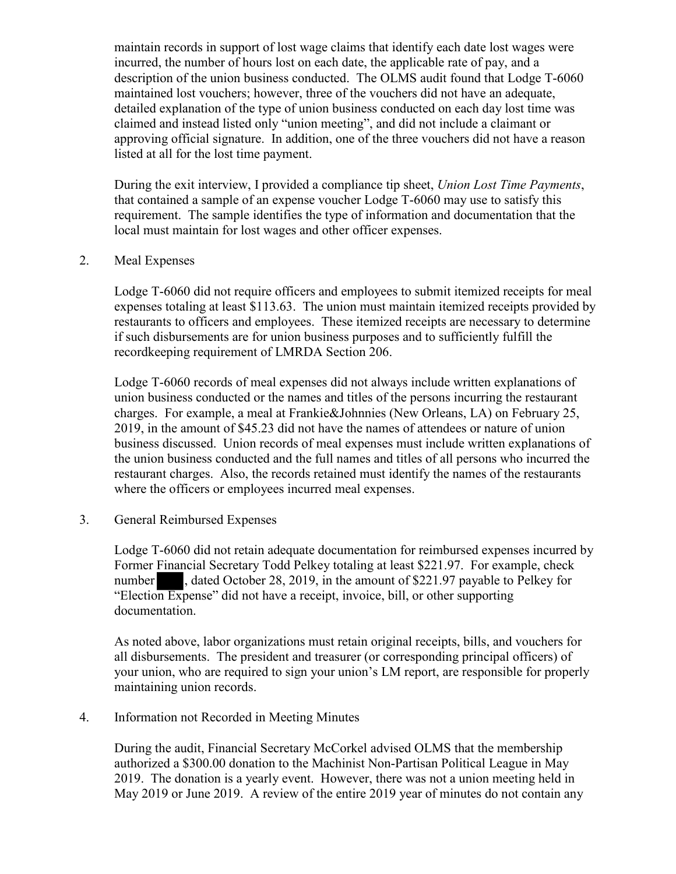description of the union business conducted. The OLMS audit found that Lodge T-6060 listed at all for the lost time payment. maintain records in support of lost wage claims that identify each date lost wages were incurred, the number of hours lost on each date, the applicable rate of pay, and a maintained lost vouchers; however, three of the vouchers did not have an adequate, detailed explanation of the type of union business conducted on each day lost time was claimed and instead listed only "union meeting", and did not include a claimant or approving official signature. In addition, one of the three vouchers did not have a reason

During the exit interview, I provided a compliance tip sheet, *Union Lost Time Payments*, that contained a sample of an expense voucher Lodge T-6060 may use to satisfy this requirement. The sample identifies the type of information and documentation that the local must maintain for lost wages and other officer expenses.

## 2. Meal Expenses

Lodge T-6060 did not require officers and employees to submit itemized receipts for meal expenses totaling at least \$113.63. The union must maintain itemized receipts provided by restaurants to officers and employees. These itemized receipts are necessary to determine if such disbursements are for union business purposes and to sufficiently fulfill the recordkeeping requirement of LMRDA Section 206.

where the officers or employees incurred meal expenses.<br>3. General Reimbursed Expenses Lodge T-6060 records of meal expenses did not always include written explanations of union business conducted or the names and titles of the persons incurring the restaurant charges. For example, a meal at Frankie&Johnnies (New Orleans, LA) on February 25, 2019, in the amount of \$45.23 did not have the names of attendees or nature of union business discussed. Union records of meal expenses must include written explanations of the union business conducted and the full names and titles of all persons who incurred the restaurant charges. Also, the records retained must identify the names of the restaurants

 number , dated October 28, 2019, in the amount of \$221.97 payable to Pelkey for -606<br>Finai<br>n Ex<br>ntatio Lodge T-6060 did not retain adequate documentation for reimbursed expenses incurred by Former Financial Secretary Todd Pelkey totaling at least \$221.97. For example, check "Election Expense" did not have a receipt, invoice, bill, or other supporting documentation.

As noted above, labor organizations must retain original receipts, bills, and vouchers for all disbursements. The president and treasurer (or corresponding principal officers) of your union, who are required to sign your union's LM report, are responsible for properly maintaining union records.

Information not Recorded in Meeting Minutes

4. Information not Recorded in Meeting Minutes<br>During the audit, Financial Secretary McCorkel advised OLMS that the membership authorized a \$300.00 donation to the Machinist Non-Partisan Political League in May 2019. The donation is a yearly event. However, there was not a union meeting held in May 2019 or June 2019. A review of the entire 2019 year of minutes do not contain any